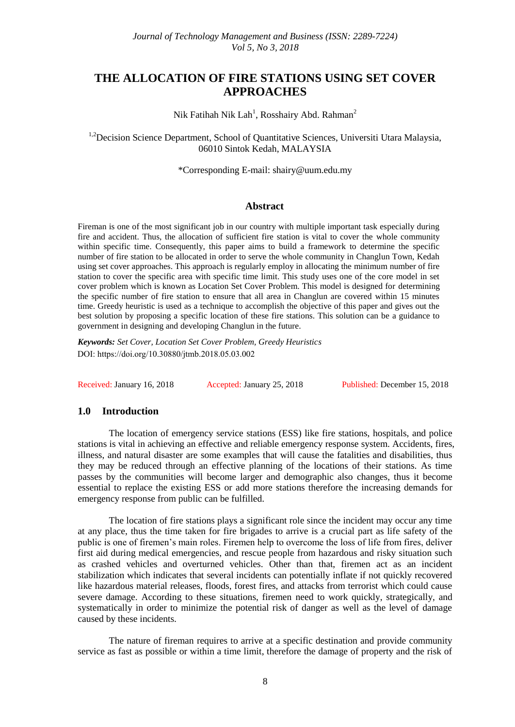# **THE ALLOCATION OF FIRE STATIONS USING SET COVER APPROACHES**

Nik Fatihah Nik Lah<sup>1</sup>, Rosshairy Abd. Rahman<sup>2</sup>

<sup>1,2</sup>Decision Science Department, School of Quantitative Sciences, Universiti Utara Malaysia, 06010 Sintok Kedah, MALAYSIA

\*Corresponding E-mail: [shairy@uum.edu.my](mailto:shairy@uum.edu.my)

### **Abstract**

Fireman is one of the most significant job in our country with multiple important task especially during fire and accident. Thus, the allocation of sufficient fire station is vital to cover the whole community within specific time. Consequently, this paper aims to build a framework to determine the specific number of fire station to be allocated in order to serve the whole community in Changlun Town, Kedah using set cover approaches. This approach is regularly employ in allocating the minimum number of fire station to cover the specific area with specific time limit. This study uses one of the core model in set cover problem which is known as Location Set Cover Problem. This model is designed for determining the specific number of fire station to ensure that all area in Changlun are covered within 15 minutes time. Greedy heuristic is used as a technique to accomplish the objective of this paper and gives out the best solution by proposing a specific location of these fire stations. This solution can be a guidance to government in designing and developing Changlun in the future.

*Keywords: Set Cover, Location Set Cover Problem, Greedy Heuristics*  DOI: https://doi.org/10.30880/jtmb.2018.05.03.002

Received: January 16, 2018 Accepted: January 25, 2018 Published: December 15, 2018

## **1.0 Introduction**

The location of emergency service stations (ESS) like fire stations, hospitals, and police stations is vital in achieving an effective and reliable emergency response system. Accidents, fires, illness, and natural disaster are some examples that will cause the fatalities and disabilities, thus they may be reduced through an effective planning of the locations of their stations. As time passes by the communities will become larger and demographic also changes, thus it become essential to replace the existing ESS or add more stations therefore the increasing demands for emergency response from public can be fulfilled.

The location of fire stations plays a significant role since the incident may occur any time at any place, thus the time taken for fire brigades to arrive is a crucial part as life safety of the public is one of firemen's main roles. Firemen help to overcome the loss of life from fires, deliver first aid during medical emergencies, and rescue people from hazardous and risky situation such as crashed vehicles and overturned vehicles. Other than that, firemen act as an incident stabilization which indicates that several incidents can potentially inflate if not quickly recovered like hazardous material releases, floods, forest fires, and attacks from terrorist which could cause severe damage. According to these situations, firemen need to work quickly, strategically, and systematically in order to minimize the potential risk of danger as well as the level of damage caused by these incidents.

The nature of fireman requires to arrive at a specific destination and provide community service as fast as possible or within a time limit, therefore the damage of property and the risk of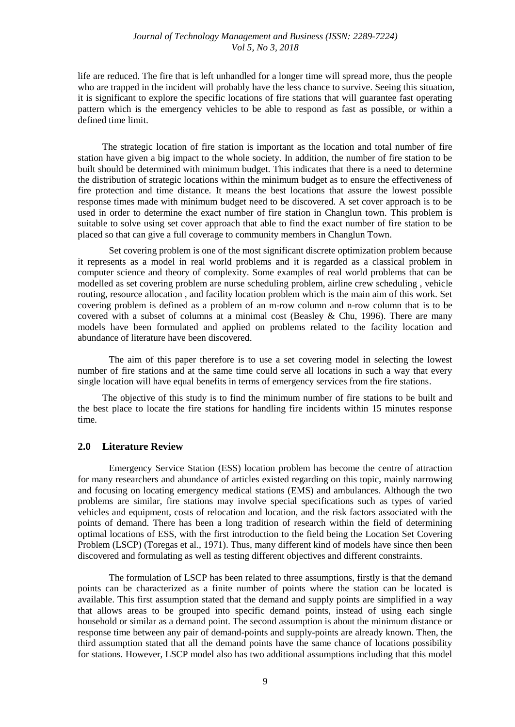### *Journal of Technology Management and Business (ISSN: 2289-7224) Vol 5, No 3, 2018*

life are reduced. The fire that is left unhandled for a longer time will spread more, thus the people who are trapped in the incident will probably have the less chance to survive. Seeing this situation, it is significant to explore the specific locations of fire stations that will guarantee fast operating pattern which is the emergency vehicles to be able to respond as fast as possible, or within a defined time limit.

The strategic location of fire station is important as the location and total number of fire station have given a big impact to the whole society. In addition, the number of fire station to be built should be determined with minimum budget. This indicates that there is a need to determine the distribution of strategic locations within the minimum budget as to ensure the effectiveness of fire protection and time distance. It means the best locations that assure the lowest possible response times made with minimum budget need to be discovered. A set cover approach is to be used in order to determine the exact number of fire station in Changlun town. This problem is suitable to solve using set cover approach that able to find the exact number of fire station to be placed so that can give a full coverage to community members in Changlun Town.

Set covering problem is one of the most significant discrete optimization problem because it represents as a model in real world problems and it is regarded as a classical problem in computer science and theory of complexity. Some examples of real world problems that can be modelled as set covering problem are nurse scheduling problem, airline crew scheduling , vehicle routing, resource allocation , and facility location problem which is the main aim of this work. Set covering problem is defined as a problem of an m-row column and n-row column that is to be covered with a subset of columns at a minimal cost (Beasley & Chu, 1996). There are many models have been formulated and applied on problems related to the facility location and abundance of literature have been discovered.

The aim of this paper therefore is to use a set covering model in selecting the lowest number of fire stations and at the same time could serve all locations in such a way that every single location will have equal benefits in terms of emergency services from the fire stations.

The objective of this study is to find the minimum number of fire stations to be built and the best place to locate the fire stations for handling fire incidents within 15 minutes response time.

#### **2.0 Literature Review**

Emergency Service Station (ESS) location problem has become the centre of attraction for many researchers and abundance of articles existed regarding on this topic, mainly narrowing and focusing on locating emergency medical stations (EMS) and ambulances. Although the two problems are similar, fire stations may involve special specifications such as types of varied vehicles and equipment, costs of relocation and location, and the risk factors associated with the points of demand. There has been a long tradition of research within the field of determining optimal locations of ESS, with the first introduction to the field being the Location Set Covering Problem (LSCP) (Toregas et al., 1971). Thus, many different kind of models have since then been discovered and formulating as well as testing different objectives and different constraints.

The formulation of LSCP has been related to three assumptions, firstly is that the demand points can be characterized as a finite number of points where the station can be located is available. This first assumption stated that the demand and supply points are simplified in a way that allows areas to be grouped into specific demand points, instead of using each single household or similar as a demand point. The second assumption is about the minimum distance or response time between any pair of demand-points and supply-points are already known. Then, the third assumption stated that all the demand points have the same chance of locations possibility for stations. However, LSCP model also has two additional assumptions including that this model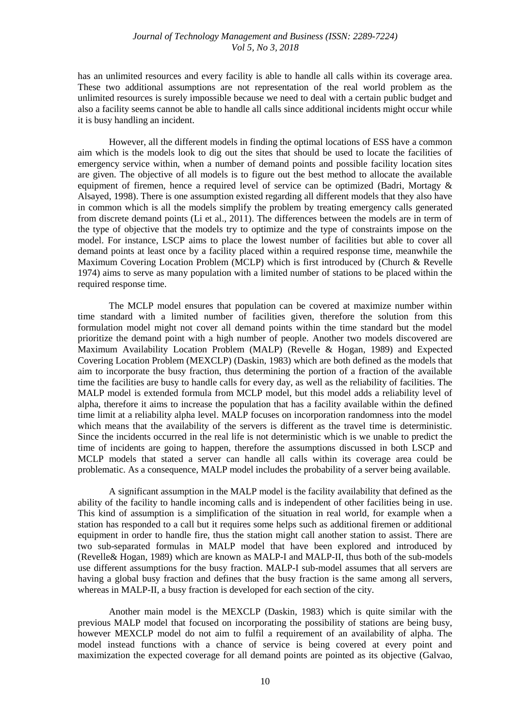has an unlimited resources and every facility is able to handle all calls within its coverage area. These two additional assumptions are not representation of the real world problem as the unlimited resources is surely impossible because we need to deal with a certain public budget and also a facility seems cannot be able to handle all calls since additional incidents might occur while it is busy handling an incident.

However, all the different models in finding the optimal locations of ESS have a common aim which is the models look to dig out the sites that should be used to locate the facilities of emergency service within, when a number of demand points and possible facility location sites are given. The objective of all models is to figure out the best method to allocate the available equipment of firemen, hence a required level of service can be optimized (Badri, Mortagy & Alsayed, 1998). There is one assumption existed regarding all different models that they also have in common which is all the models simplify the problem by treating emergency calls generated from discrete demand points (Li et al., 2011). The differences between the models are in term of the type of objective that the models try to optimize and the type of constraints impose on the model. For instance, LSCP aims to place the lowest number of facilities but able to cover all demand points at least once by a facility placed within a required response time, meanwhile the Maximum Covering Location Problem (MCLP) which is first introduced by (Church & Revelle 1974) aims to serve as many population with a limited number of stations to be placed within the required response time.

The MCLP model ensures that population can be covered at maximize number within time standard with a limited number of facilities given, therefore the solution from this formulation model might not cover all demand points within the time standard but the model prioritize the demand point with a high number of people. Another two models discovered are Maximum Availability Location Problem (MALP) (Revelle & Hogan, 1989) and Expected Covering Location Problem (MEXCLP) (Daskin, 1983) which are both defined as the models that aim to incorporate the busy fraction, thus determining the portion of a fraction of the available time the facilities are busy to handle calls for every day, as well as the reliability of facilities. The MALP model is extended formula from MCLP model, but this model adds a reliability level of alpha, therefore it aims to increase the population that has a facility available within the defined time limit at a reliability alpha level. MALP focuses on incorporation randomness into the model which means that the availability of the servers is different as the travel time is deterministic. Since the incidents occurred in the real life is not deterministic which is we unable to predict the time of incidents are going to happen, therefore the assumptions discussed in both LSCP and MCLP models that stated a server can handle all calls within its coverage area could be problematic. As a consequence, MALP model includes the probability of a server being available.

A significant assumption in the MALP model is the facility availability that defined as the ability of the facility to handle incoming calls and is independent of other facilities being in use. This kind of assumption is a simplification of the situation in real world, for example when a station has responded to a call but it requires some helps such as additional firemen or additional equipment in order to handle fire, thus the station might call another station to assist. There are two sub-separated formulas in MALP model that have been explored and introduced by (Revelle& Hogan, 1989) which are known as MALP-I and MALP-II, thus both of the sub-models use different assumptions for the busy fraction. MALP-I sub-model assumes that all servers are having a global busy fraction and defines that the busy fraction is the same among all servers, whereas in MALP-II, a busy fraction is developed for each section of the city.

Another main model is the MEXCLP (Daskin, 1983) which is quite similar with the previous MALP model that focused on incorporating the possibility of stations are being busy, however MEXCLP model do not aim to fulfil a requirement of an availability of alpha. The model instead functions with a chance of service is being covered at every point and maximization the expected coverage for all demand points are pointed as its objective (Galvao,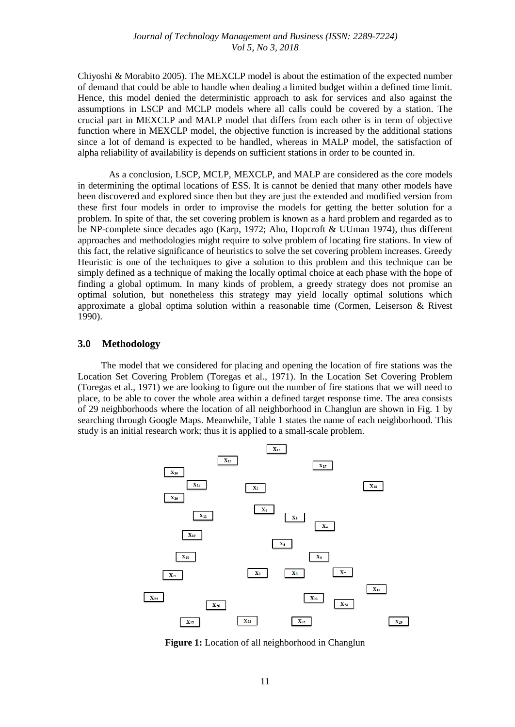Chiyoshi & Morabito 2005). The MEXCLP model is about the estimation of the expected number of demand that could be able to handle when dealing a limited budget within a defined time limit. Hence, this model denied the deterministic approach to ask for services and also against the assumptions in LSCP and MCLP models where all calls could be covered by a station. The crucial part in MEXCLP and MALP model that differs from each other is in term of objective function where in MEXCLP model, the objective function is increased by the additional stations since a lot of demand is expected to be handled, whereas in MALP model, the satisfaction of alpha reliability of availability is depends on sufficient stations in order to be counted in.

As a conclusion, LSCP, MCLP, MEXCLP, and MALP are considered as the core models in determining the optimal locations of ESS. It is cannot be denied that many other models have been discovered and explored since then but they are just the extended and modified version from these first four models in order to improvise the models for getting the better solution for a problem. In spite of that, the set covering problem is known as a hard problem and regarded as to be NP-complete since decades ago (Karp, 1972; Aho, Hopcroft & UUman 1974), thus different approaches and methodologies might require to solve problem of locating fire stations. In view of this fact, the relative significance of heuristics to solve the set covering problem increases. Greedy Heuristic is one of the techniques to give a solution to this problem and this technique can be simply defined as a technique of making the locally optimal choice at each phase with the hope of finding a global optimum. In many kinds of problem, a greedy strategy does not promise an optimal solution, but nonetheless this strategy may yield locally optimal solutions which approximate a global optima solution within a reasonable time (Cormen, Leiserson & Rivest 1990).

#### **3.0 Methodology**

The model that we considered for placing and opening the location of fire stations was the Location Set Covering Problem (Toregas et al., 1971). In the Location Set Covering Problem (Toregas et al., 1971) we are looking to figure out the number of fire stations that we will need to place, to be able to cover the whole area within a defined target response time. The area consists of 29 neighborhoods where the location of all neighborhood in Changlun are shown in Fig. 1 by searching through Google Maps. Meanwhile, Table 1 states the name of each neighborhood. This study is an initial research work; thus it is applied to a small-scale problem.



**Figure 1:** Location of all neighborhood in Changlun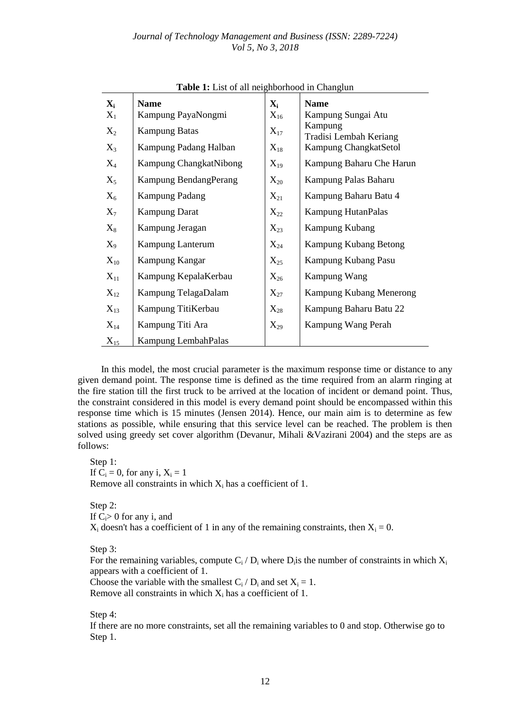| $\mathbf{X_i}$ | <b>Name</b>             | $\mathbf{X}_{i}$  | <b>Name</b>                       |
|----------------|-------------------------|-------------------|-----------------------------------|
| $X_1$          | Kampung PayaNongmi      | $X_{16}$          | Kampung Sungai Atu                |
| $X_2$          | <b>Kampung Batas</b>    | $X_{17}$          | Kampung<br>Tradisi Lembah Keriang |
| $X_3$          | Kampung Padang Halban   | $X_{18}$          | Kampung ChangkatSetol             |
| $X_4$          | Kampung ChangkatNibong  | $X_{19}$          | Kampung Baharu Che Harun          |
| $X_5$          | Kampung BendangPerang   | $X_{20}$          | Kampung Palas Baharu              |
| $X_6$          | <b>Kampung Padang</b>   | $X_{21}$          | Kampung Baharu Batu 4             |
| $X_7$          | <b>Kampung Darat</b>    | $X_{22}$          | Kampung HutanPalas                |
| $\rm X_8$      | Kampung Jeragan         | $X_{23}$          | Kampung Kubang                    |
| $X_9$          | <b>Kampung Lanterum</b> | $X_{24}$          | Kampung Kubang Betong             |
| $\rm X_{10}$   | Kampung Kangar          | $X_{25}$          | Kampung Kubang Pasu               |
| $X_{11}$       | Kampung KepalaKerbau    | $\mathrm{X}_{26}$ | Kampung Wang                      |
| $X_{12}$       | Kampung TelagaDalam     | $X_{27}$          | <b>Kampung Kubang Menerong</b>    |
| $X_{13}$       | Kampung TitiKerbau      | $X_{28}$          | Kampung Baharu Batu 22            |
| $X_{14}$       | Kampung Titi Ara        | $X_{29}$          | Kampung Wang Perah                |
| $X_{15}$       | Kampung LembahPalas     |                   |                                   |

**Table 1:** List of all neighborhood in Changlun

In this model, the most crucial parameter is the maximum response time or distance to any given demand point. The response time is defined as the time required from an alarm ringing at the fire station till the first truck to be arrived at the location of incident or demand point. Thus, the constraint considered in this model is every demand point should be encompassed within this response time which is 15 minutes (Jensen 2014). Hence, our main aim is to determine as few stations as possible, while ensuring that this service level can be reached. The problem is then solved using greedy set cover algorithm (Devanur, Mihali &Vazirani 2004) and the steps are as follows:

Step 1: If  $C_i = 0$ , for any i,  $X_i = 1$ Remove all constraints in which  $X_i$  has a coefficient of 1.

Step 2: If  $C_i>0$  for any i, and  $X_i$  doesn't has a coefficient of 1 in any of the remaining constraints, then  $X_i = 0$ .

Step 3:

For the remaining variables, compute  $C_i/D_i$  where  $D_i$  is the number of constraints in which  $X_i$ appears with a coefficient of 1.

Choose the variable with the smallest  $C_i / D_i$  and set  $X_i = 1$ .

Remove all constraints in which  $X_i$  has a coefficient of 1.

Step 4:

If there are no more constraints, set all the remaining variables to 0 and stop. Otherwise go to Step 1.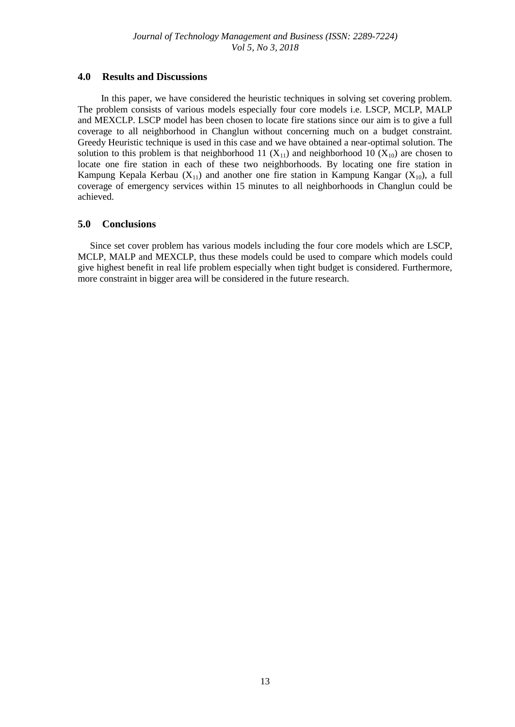# **4.0 Results and Discussions**

In this paper, we have considered the heuristic techniques in solving set covering problem. The problem consists of various models especially four core models i.e. LSCP, MCLP, MALP and MEXCLP. LSCP model has been chosen to locate fire stations since our aim is to give a full coverage to all neighborhood in Changlun without concerning much on a budget constraint. Greedy Heuristic technique is used in this case and we have obtained a near-optimal solution. The solution to this problem is that neighborhood 11  $(X_{11})$  and neighborhood 10  $(X_{10})$  are chosen to locate one fire station in each of these two neighborhoods. By locating one fire station in Kampung Kepala Kerbau ( $X_{11}$ ) and another one fire station in Kampung Kangar ( $X_{10}$ ), a full coverage of emergency services within 15 minutes to all neighborhoods in Changlun could be achieved.

# **5.0 Conclusions**

Since set cover problem has various models including the four core models which are LSCP, MCLP, MALP and MEXCLP, thus these models could be used to compare which models could give highest benefit in real life problem especially when tight budget is considered. Furthermore, more constraint in bigger area will be considered in the future research.